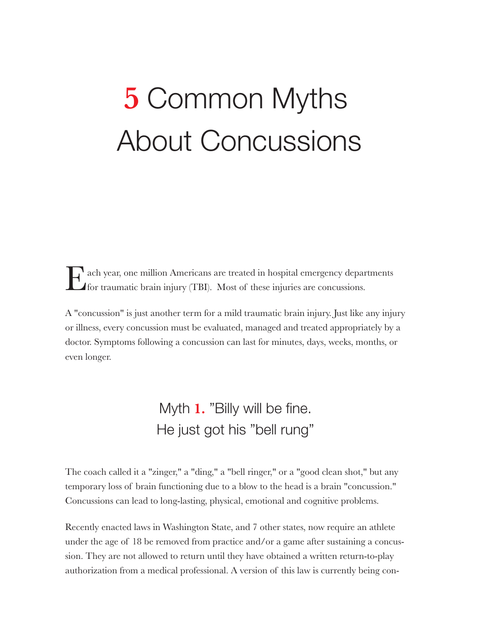# **5** Common Myths About Concussions

Each year, one million Americans are treated in hospital emergency departments for traumatic brain injury (TBI). Most of these injuries are concussions.

A "concussion" is just another term for a mild traumatic brain injury. Just like any injury or illness, every concussion must be evaluated, managed and treated appropriately by a doctor. Symptoms following a concussion can last for minutes, days, weeks, months, or even longer.

### Myth **1.** "Billy will be fine. He just got his "bell rung"

The coach called it a "zinger," a "ding," a "bell ringer," or a "good clean shot," but any temporary loss of brain functioning due to a blow to the head is a brain "concussion." Concussions can lead to long-lasting, physical, emotional and cognitive problems.

Recently enacted laws in Washington State, and 7 other states, now require an athlete under the age of 18 be removed from practice and/or a game after sustaining a concussion. They are not allowed to return until they have obtained a written return-to-play authorization from a medical professional. A version of this law is currently being con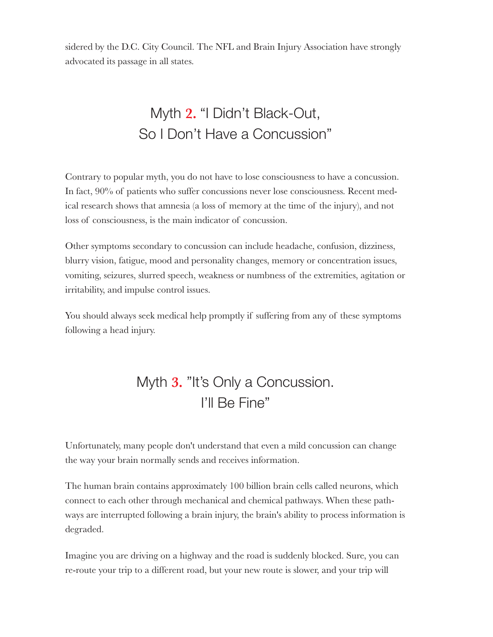sidered by the D.C. City Council. The NFL and Brain Injury Association have strongly advocated its passage in all states.

## Myth **2.** "I Didn't Black-Out, So I Don't Have a Concussion"

Contrary to popular myth, you do not have to lose consciousness to have a concussion. In fact, 90% of patients who suffer concussions never lose consciousness. Recent medical research shows that amnesia (a loss of memory at the time of the injury), and not loss of consciousness, is the main indicator of concussion.

Other symptoms secondary to concussion can include headache, confusion, dizziness, blurry vision, fatigue, mood and personality changes, memory or concentration issues, vomiting, seizures, slurred speech, weakness or numbness of the extremities, agitation or irritability, and impulse control issues.

You should always seek medical help promptly if suffering from any of these symptoms following a head injury.

#### Myth **3.** "It's Only a Concussion. I'll Be Fine"

Unfortunately, many people don't understand that even a mild concussion can change the way your brain normally sends and receives information.

The human brain contains approximately 100 billion brain cells called neurons, which connect to each other through mechanical and chemical pathways. When these pathways are interrupted following a brain injury, the brain's ability to process information is degraded.

Imagine you are driving on a highway and the road is suddenly blocked. Sure, you can re-route your trip to a different road, but your new route is slower, and your trip will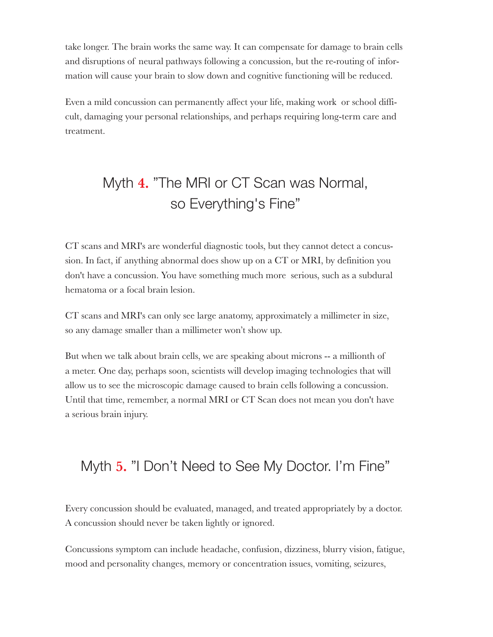take longer. The brain works the same way. It can compensate for damage to brain cells and disruptions of neural pathways following a concussion, but the re-routing of information will cause your brain to slow down and cognitive functioning will be reduced.

Even a mild concussion can permanently affect your life, making work or school difficult, damaging your personal relationships, and perhaps requiring long-term care and treatment.

## Myth **4.** "The MRI or CT Scan was Normal, so Everything's Fine"

CT scans and MRI's are wonderful diagnostic tools, but they cannot detect a concussion. In fact, if anything abnormal does show up on a CT or MRI, by definition you don't have a concussion. You have something much more serious, such as a subdural hematoma or a focal brain lesion.

CT scans and MRI's can only see large anatomy, approximately a millimeter in size, so any damage smaller than a millimeter won't show up.

But when we talk about brain cells, we are speaking about microns -- a millionth of a meter. One day, perhaps soon, scientists will develop imaging technologies that will allow us to see the microscopic damage caused to brain cells following a concussion. Until that time, remember, a normal MRI or CT Scan does not mean you don't have a serious brain injury.

#### Myth **5.** "I Don't Need to See My Doctor. I'm Fine"

Every concussion should be evaluated, managed, and treated appropriately by a doctor. A concussion should never be taken lightly or ignored.

Concussions symptom can include headache, confusion, dizziness, blurry vision, fatigue, mood and personality changes, memory or concentration issues, vomiting, seizures,